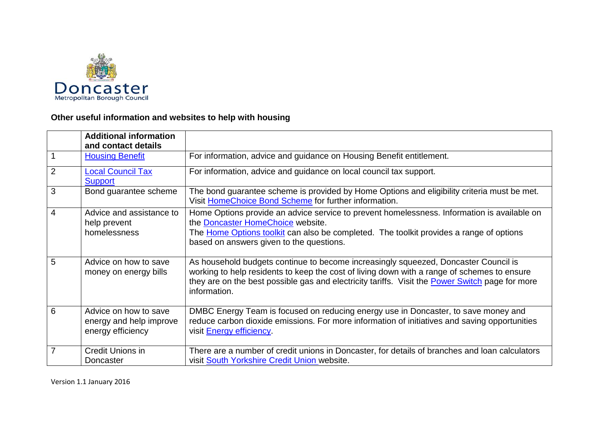

## **Other useful information and websites to help with housing**

|                | <b>Additional information</b><br>and contact details                  |                                                                                                                                                                                                                                                                                                       |
|----------------|-----------------------------------------------------------------------|-------------------------------------------------------------------------------------------------------------------------------------------------------------------------------------------------------------------------------------------------------------------------------------------------------|
|                | <b>Housing Benefit</b>                                                | For information, advice and guidance on Housing Benefit entitlement.                                                                                                                                                                                                                                  |
| $\overline{2}$ | <b>Local Council Tax</b><br><b>Support</b>                            | For information, advice and guidance on local council tax support.                                                                                                                                                                                                                                    |
| 3              | Bond guarantee scheme                                                 | The bond guarantee scheme is provided by Home Options and eligibility criteria must be met.<br>Visit HomeChoice Bond Scheme for further information.                                                                                                                                                  |
| 4              | Advice and assistance to<br>help prevent<br>homelessness              | Home Options provide an advice service to prevent homelessness. Information is available on<br>the Doncaster HomeChoice website.<br>The Home Options toolkit can also be completed. The toolkit provides a range of options<br>based on answers given to the questions.                               |
| 5              | Advice on how to save<br>money on energy bills                        | As household budgets continue to become increasingly squeezed, Doncaster Council is<br>working to help residents to keep the cost of living down with a range of schemes to ensure<br>they are on the best possible gas and electricity tariffs. Visit the Power Switch page for more<br>information. |
| 6              | Advice on how to save<br>energy and help improve<br>energy efficiency | DMBC Energy Team is focused on reducing energy use in Doncaster, to save money and<br>reduce carbon dioxide emissions. For more information of initiatives and saving opportunities<br>visit <b>Energy efficiency</b> .                                                                               |
|                | Credit Unions in<br>Doncaster                                         | There are a number of credit unions in Doncaster, for details of branches and loan calculators<br>visit South Yorkshire Credit Union website.                                                                                                                                                         |